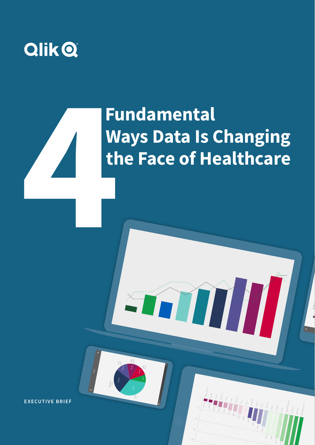

# **Fundamental Ways Data Is Changing the Face of Healthcare**

**EXECUTIVE BRIEF** The 4 Fundamental Ways Data Is Changing the Face of Healthcare **1**

Fresh Vegetables Si80 Jou

 $\frac{13}{12}$ 

Frozen Vegetables Sugar

4.71M

3.06M 2.76M

Cheese Deli Meats

1.94M

1.69M

1.59M

1.32M

Wine Ice Cream Cereal duuk 628.78k

Chicken Wings

596.21k

Pasta

Pizza

Sardines

Bologna Cofée Preserves

**EXECUTIVE BRIEF**

Churn

8-14 days

22.66%

days

days

days

16.31% 18.31% 20.41%

Over a month old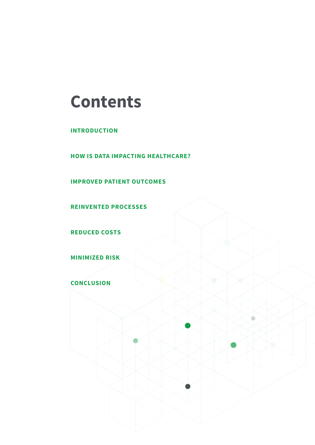## **Contents**

**INTRODUCTION**

**HOW IS DATA IMPACTING HEALTHCARE?**

**IMPROVED PATIENT OUTCOMES**

**REINVENTED PROCESSES**

**REDUCED COSTS**

**MINIMIZED RISK** 

**CONCLUSION**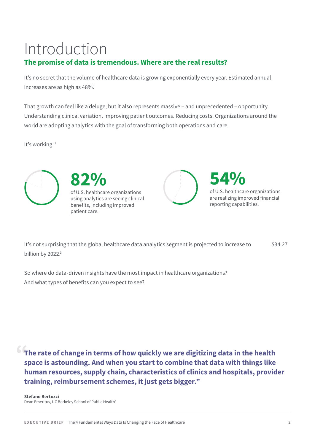## Introduction

## **The promise of data is tremendous. Where are the real results?**

It's no secret that the volume of healthcare data is growing exponentially every year. Estimated annual increases are as high as 48%.<sup>1</sup>

That growth can feel like a deluge, but it also represents massive – and unprecedented – opportunity. Understanding clinical variation. Improving patient outcomes. Reducing costs. Organizations around the world are adopting analytics with the goal of transforming both operations and care.

It's working:<sup>2</sup>





of U.S. healthcare organizations using analytics are seeing clinical benefits, including improved patient care.



**54%** of U.S. healthcare organizations are realizing improved financial reporting capabilities.

It's not surprising that the global healthcare data analytics segment is projected to increase to  $$34.27$ billion by 2022.<sup>3</sup>

So where do data-driven insights have the most impact in healthcare organizations? And what types of benefits can you expect to see?

**The rate of change in terms of how quickly we are digitizing data in the health space is astounding. And when you start to combine that data with things like human resources, supply chain, characteristics of clinics and hospitals, provider training, reimbursement schemes, it just gets bigger."**

**Stefano Bertozzi** Dean Emeritus, UC Berkeley School of Public Health<sup>4</sup>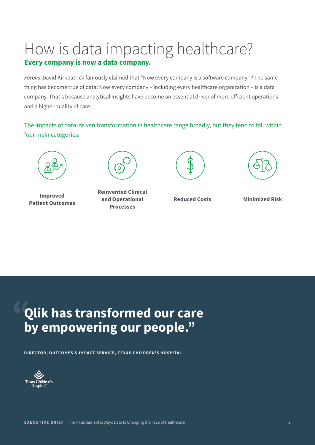# How is data impacting healthcare?

## **Every company is now a data company.**

*Forbes'* David Kirkpatrick famously claimed that "Now every company is a software company." <sup>5</sup> The same thing has become true of data: Now every company – including every healthcare organization – is a data company. That's because analytical insights have become an essential driver of more efficient operations and a higher quality of care.

The impacts of data-driven transformation in healthcare range broadly, but they tend to fall within four main categories:



**Improved Patient Outcomes**



**Reinvented Clinical and Operational Processes**





**Reduced Costs Minimized Risk**

## **Qlik has transformed our care by empowering our people."**

**DIRECTOR, OUTCOMES & IMPACT SERVICE, TEXAS CHILDREN'S HOSPITAL**

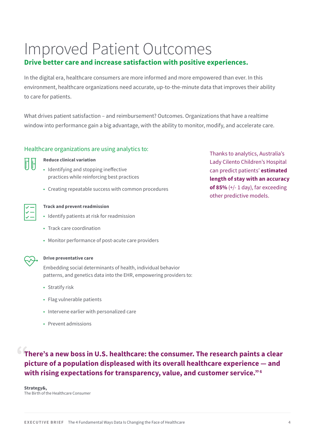## Improved Patient Outcomes

## **Drive better care and increase satisfaction with positive experiences.**

In the digital era, healthcare consumers are more informed and more empowered than ever. In this environment, healthcare organizations need accurate, up-to-the-minute data that improves their ability to care for patients.

What drives patient satisfaction – and reimbursement? Outcomes. Organizations that have a realtime window into performance gain a big advantage, with the ability to monitor, modify, and accelerate care.

## Healthcare organizations are using analytics to:

| ۰.<br>$\sim$ | ٠ |  |
|--------------|---|--|
|              |   |  |

**Reduce clinical variation**

- Identifying and stopping ineffective practices while reinforcing best practices
- Creating repeatable success with common procedures



## **Track and prevent readmission**

- Identify patients at risk for readmission
- Track care coordination
- Monitor performance of post-acute care providers



## **Drive preventative care**

Embedding social determinants of health, individual behavior patterns, and genetics data into the EHR, empowering providers to:

- Stratify risk
- Flag vulnerable patients
- Intervene earlier with personalized care
- Prevent admissions

**There's a new boss in U.S. healthcare: the consumer. The research paints a clear picture of a population displeased with its overall healthcare experience — and with rising expectations for transparency, value, and customer service."6**

**Strategy&,** The Birth of the Healthcare Consumer Thanks to analytics, Australia's Lady Cilento Children's Hospital can predict patients' **estimated length of stay with an accuracy of 85%** (+/- 1 day), far exceeding other predictive models.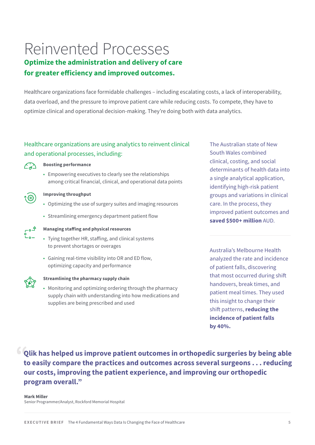## Reinvented Processes

## **Optimize the administration and delivery of care for greater efficiency and improved outcomes.**

Healthcare organizations face formidable challenges – including escalating costs, a lack of interoperability, data overload, and the pressure to improve patient care while reducing costs. To compete, they have to optimize clinical and operational decision-making. They're doing both with data analytics.

## Healthcare organizations are using analytics to reinvent clinical and operational processes, including:



### **Boosting performance**

• Empowering executives to clearly see the relationships among critical financial, clinical, and operational data points



### **Improving throughput**

- Optimizing the use of surgery suites and imaging resources
- Streamlining emergency department patient flow



## **Managing staffing and physical resources**

- Tying together HR, staffing, and clinical systems to prevent shortages or overages
- Gaining real-time visibility into OR and ED flow, optimizing capacity and performance



### **Streamlining the pharmacy supply chain**

• Monitoring and optimizing ordering through the pharmacy supply chain with understanding into how medications and supplies are being prescribed and used

The Australian state of New South Wales combined clinical, costing, and social determinants of health data into a single analytical application, identifying high-risk patient groups and variations in clinical care. In the process, they improved patient outcomes and **saved \$500+ million** AUD.

Australia's Melbourne Health analyzed the rate and incidence of patient falls, discovering that most occurred during shift handovers, break times, and patient meal times. They used this insight to change their shift patterns, **reducing the incidence of patient falls by 40%.**

**Qlik has helped us improve patient outcomes in orthopedic surgeries by being able to easily compare the practices and outcomes across several surgeons . . . reducing our costs, improving the patient experience, and improving our orthopedic program overall."**

#### **Mark Miller** Senior Programmer/Analyst, Rockford Memorial Hospital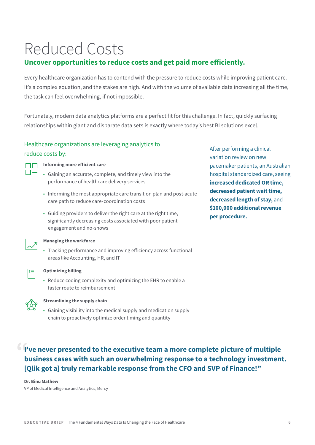## Reduced Costs

## **Uncover opportunities to reduce costs and get paid more efficiently.**

Every healthcare organization has to contend with the pressure to reduce costs while improving patient care. It's a complex equation, and the stakes are high. And with the volume of available data increasing all the time, the task can feel overwhelming, if not impossible.

Fortunately, modern data analytics platforms are a perfect fit for this challenge. In fact, quickly surfacing relationships within giant and disparate data sets is exactly where today's best BI solutions excel.

## Healthcare organizations are leveraging analytics to

### reduce costs by:



## **Informing more efficient care**

- Gaining an accurate, complete, and timely view into the performance of healthcare delivery services
- Informing the most appropriate care transition plan and post-acute care path to reduce care-coordination costs
- Guiding providers to deliver the right care at the right time, significantly decreasing costs associated with poor patient engagement and no-shows

After performing a clinical variation review on new pacemaker patients, an Australian hospital standardized care, seeing **increased dedicated OR time, decreased patient wait time, decreased length of stay,** and **\$100,000 additional revenue per procedure.**



### **Managing the workforce**

• Tracking performance and improving efficiency across functional areas like Accounting, HR, and IT



### **Optimizing billing**

• Reduce coding complexity and optimizing the EHR to enable a faster route to reimbursement



### **Streamlining the supply chain**

• Gaining visibility into the medical supply and medication supply chain to proactively optimize order timing and quantity

**I've never presented to the executive team a more complete picture of multiple business cases with such an overwhelming response to a technology investment. [Qlik got a] truly remarkable response from the CFO and SVP of Finance!"**

#### **Dr. Binu Mathew**

VP of Medical Intelligence and Analytics, Mercy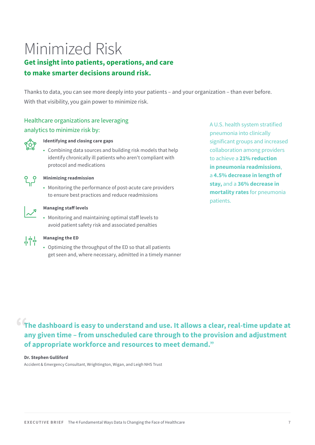## Minimized Risk

## **Get insight into patients, operations, and care to make smarter decisions around risk.**

Thanks to data, you can see more deeply into your patients – and your organization – than ever before. With that visibility, you gain power to minimize risk.

## Healthcare organizations are leveraging analytics to minimize risk by:



### **Identifying and closing care gaps**

• Combining data sources and building risk models that help identify chronically ill patients who aren't compliant with protocol and medications



#### **Minimizing readmission**

• Monitoring the performance of post-acute care providers to ensure best practices and reduce readmissions



### **Managing staff levels**

• Monitoring and maintaining optimal staff levels to avoid patient safety risk and associated penalties



## **Managing the ED**

• Optimizing the throughput of the ED so that all patients get seen and, where necessary, admitted in a timely manner A U.S. health system stratified pneumonia into clinically significant groups and increased collaboration among providers to achieve a **21% reduction in pneumonia readmissions**, a **4.5% decrease in length of stay,** and a **36% decrease in mortality rates** for pneumonia patients.

**The dashboard is easy to understand and use. It allows a clear, real-time update at any given time – from unscheduled care through to the provision and adjustment of appropriate workforce and resources to meet demand."**

#### **Dr. Stephen Gulliford**

Accident & Emergency Consultant, Wrightington, Wigan, and Leigh NHS Trust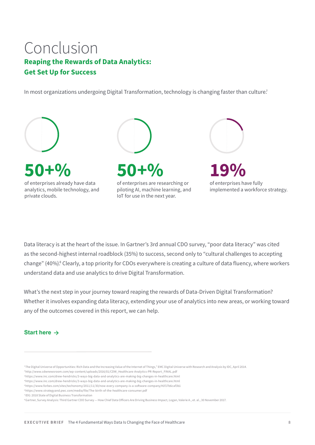## Conclusion **Reaping the Rewards of Data Analytics: Get Set Up for Success**

In most organizations undergoing Digital Transformation, technology is changing faster than culture.<sup>7</sup>



Data literacy is at the heart of the issue. In Gartner's 3rd annual CDO survey, "poor data literacy" was cited as the second-highest internal roadblock (35%) to success, second only to "cultural challenges to accepting change" (40%).<sup>8</sup> Clearly, a top priority for CDOs everywhere is creating a culture of data fluency, where workers understand data and use analytics to drive Digital Transformation.

What's the next step in your journey toward reaping the rewards of Data-Driven Digital Transformation? Whether it involves expanding data literacy, extending your use of analytics into new areas, or working toward any of the outcomes covered in this report, we can help.

## **Start here**

- <sup>1</sup>The Digital Universe of Opportunities: Rich Data and the Increasing Value of the Internet of Things," EMC Digital Universe with Research and Analysis by IDC, April 2014.
- 2http://www.cdwnewsroom.com/wp-content/uploads/2016/01/CDW\_Healthcare-Analytics-PR-Report\_FINAL.pdf
- 3https://www.inc.com/drew-hendricks/3-ways-big-data-and-analytics-are-making-big-changes-in-healthcare.html
- 4https://www.inc.com/drew-hendricks/3-ways-big-data-and-analytics-are-making-big-changes-in-healthcare.html
- 5https://www.forbes.com/sites/techonomy/2011/11/30/now-every-company-is-a-software-company/#1f17b6caf3b1
- 6https://www.strategyand.pwc.com/media/file/The-birth-of-the-healthcare-consumer.pdf
- <sup>7</sup> IDG: 2018 State of Digital Business Transformation

<sup>8</sup>Gartner, Survey Analysis: Third Gartner CDO Survey — How Chief Data Officers Are Driving Business Impact, Logan, Valerie A., et. al., 30 November 2017.